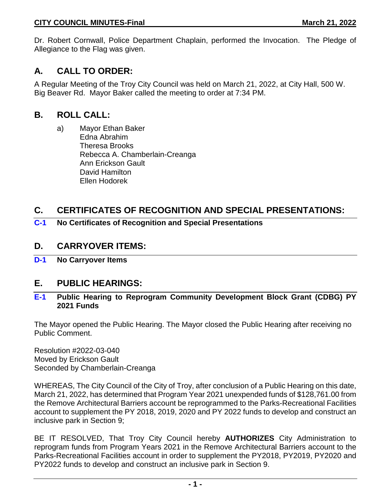Dr. Robert Cornwall, Police Department Chaplain, performed the Invocation. The Pledge of Allegiance to the Flag was given.

# **A. CALL TO ORDER:**

A Regular Meeting of the Troy City Council was held on March 21, 2022, at City Hall, 500 W. Big Beaver Rd. Mayor Baker called the meeting to order at 7:34 PM.

# **B. ROLL CALL:**

a) Mayor Ethan Baker Edna Abrahim Theresa Brooks Rebecca A. Chamberlain-Creanga Ann Erickson Gault David Hamilton Ellen Hodorek

# **C. CERTIFICATES OF RECOGNITION AND SPECIAL PRESENTATIONS:**

**C-1 No Certificates of Recognition and Special Presentations**

### **D. CARRYOVER ITEMS:**

**D-1 No Carryover Items**

### **E. PUBLIC HEARINGS:**

#### **E-1 Public Hearing to Reprogram Community Development Block Grant (CDBG) PY 2021 Funds**

The Mayor opened the Public Hearing. The Mayor closed the Public Hearing after receiving no Public Comment.

Resolution #2022-03-040 Moved by Erickson Gault Seconded by Chamberlain-Creanga

WHEREAS, The City Council of the City of Troy, after conclusion of a Public Hearing on this date, March 21, 2022, has determined that Program Year 2021 unexpended funds of \$128,761.00 from the Remove Architectural Barriers account be reprogrammed to the Parks-Recreational Facilities account to supplement the PY 2018, 2019, 2020 and PY 2022 funds to develop and construct an inclusive park in Section 9;

BE IT RESOLVED, That Troy City Council hereby **AUTHORIZES** City Administration to reprogram funds from Program Years 2021 in the Remove Architectural Barriers account to the Parks-Recreational Facilities account in order to supplement the PY2018, PY2019, PY2020 and PY2022 funds to develop and construct an inclusive park in Section 9.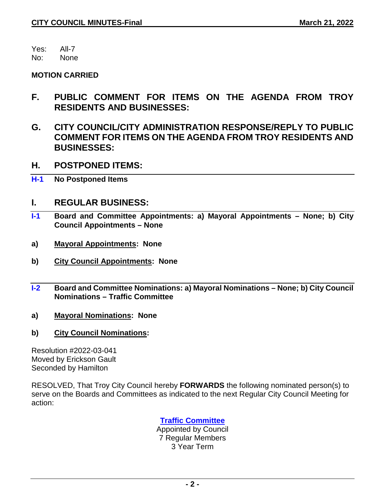Yes: All-7

No: None

#### **MOTION CARRIED**

- **F. PUBLIC COMMENT FOR ITEMS ON THE AGENDA FROM TROY RESIDENTS AND BUSINESSES:**
- **G. CITY COUNCIL/CITY ADMINISTRATION RESPONSE/REPLY TO PUBLIC COMMENT FOR ITEMS ON THE AGENDA FROM TROY RESIDENTS AND BUSINESSES:**
- **H. POSTPONED ITEMS:**
- **H-1 No Postponed Items**

### **I. REGULAR BUSINESS:**

- **I-1 Board and Committee Appointments: a) Mayoral Appointments – None; b) City Council Appointments – None**
- **a) Mayoral Appointments: None**
- **b) City Council Appointments: None**
- **I-2 Board and Committee Nominations: a) Mayoral Nominations – None; b) City Council Nominations – Traffic Committee**
- **a) Mayoral Nominations: None**
- **b) City Council Nominations:**

Resolution #2022-03-041 Moved by Erickson Gault Seconded by Hamilton

RESOLVED, That Troy City Council hereby **FORWARDS** the following nominated person(s) to serve on the Boards and Committees as indicated to the next Regular City Council Meeting for action:

### **Traffic Committee**

Appointed by Council 7 Regular Members 3 Year Term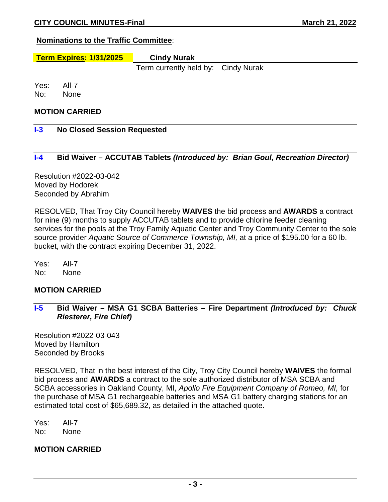#### **Nominations to the Traffic Committee**:

# **Term Expires: 1/31/2025 Cindy Nurak**

Term currently held by: Cindy Nurak

Yes: All-7 No: None

#### **MOTION CARRIED**

#### **I-3 No Closed Session Requested**

#### **I-4 Bid Waiver – ACCUTAB Tablets** *(Introduced by: Brian Goul, Recreation Director)*

Resolution #2022-03-042 Moved by Hodorek Seconded by Abrahim

RESOLVED, That Troy City Council hereby **WAIVES** the bid process and **AWARDS** a contract for nine (9) months to supply ACCUTAB tablets and to provide chlorine feeder cleaning services for the pools at the Troy Family Aquatic Center and Troy Community Center to the sole source provider *Aquatic Source of Commerce Township, MI,* at a price of \$195.00 for a 60 lb. bucket, with the contract expiring December 31, 2022.

Yes: All-7 No: None

#### **MOTION CARRIED**

**I-5 Bid Waiver – MSA G1 SCBA Batteries – Fire Department** *(Introduced by: Chuck Riesterer, Fire Chief)*

Resolution #2022-03-043 Moved by Hamilton Seconded by Brooks

RESOLVED, That in the best interest of the City, Troy City Council hereby **WAIVES** the formal bid process and **AWARDS** a contract to the sole authorized distributor of MSA SCBA and SCBA accessories in Oakland County, MI, *Apollo Fire Equipment Company of Romeo, MI,* for the purchase of MSA G1 rechargeable batteries and MSA G1 battery charging stations for an estimated total cost of \$65,689.32, as detailed in the attached quote.

Yes: All-7 No: None

#### **MOTION CARRIED**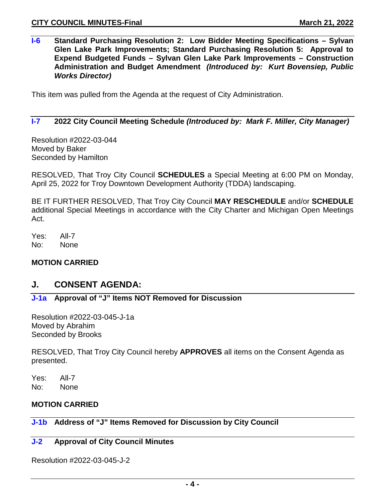**I-6 Standard Purchasing Resolution 2: Low Bidder Meeting Specifications – Sylvan Glen Lake Park Improvements; Standard Purchasing Resolution 5: Approval to Expend Budgeted Funds – Sylvan Glen Lake Park Improvements – Construction Administration and Budget Amendment** *(Introduced by: Kurt Bovensiep, Public Works Director)*

This item was pulled from the Agenda at the request of City Administration.

#### **I-7 2022 City Council Meeting Schedule** *(Introduced by: Mark F. Miller, City Manager)*

Resolution #2022-03-044 Moved by Baker Seconded by Hamilton

RESOLVED, That Troy City Council **SCHEDULES** a Special Meeting at 6:00 PM on Monday, April 25, 2022 for Troy Downtown Development Authority (TDDA) landscaping.

BE IT FURTHER RESOLVED, That Troy City Council **MAY RESCHEDULE** and/or **SCHEDULE** additional Special Meetings in accordance with the City Charter and Michigan Open Meetings Act.

Yes: All-7 No: None

#### **MOTION CARRIED**

### **J. CONSENT AGENDA:**

#### **J-1a Approval of "J" Items NOT Removed for Discussion**

Resolution #2022-03-045-J-1a Moved by Abrahim Seconded by Brooks

RESOLVED, That Troy City Council hereby **APPROVES** all items on the Consent Agenda as presented.

Yes: All-7 No: None

#### **MOTION CARRIED**

### **J-1b Address of "J" Items Removed for Discussion by City Council**

#### **J-2 Approval of City Council Minutes**

Resolution #2022-03-045-J-2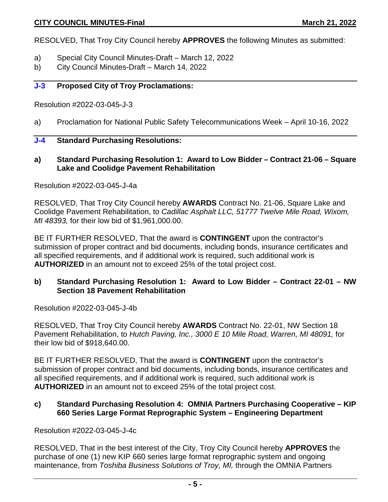RESOLVED, That Troy City Council hereby **APPROVES** the following Minutes as submitted:

- a) Special City Council Minutes-Draft March 12, 2022
- b) City Council Minutes-Draft March 14, 2022

#### **J-3 Proposed City of Troy Proclamations:**

Resolution #2022-03-045-J-3

a) Proclamation for National Public Safety Telecommunications Week – April 10-16, 2022

#### **J-4 Standard Purchasing Resolutions:**

**a) Standard Purchasing Resolution 1: Award to Low Bidder – Contract 21-06 – Square Lake and Coolidge Pavement Rehabilitation**

Resolution #2022-03-045-J-4a

RESOLVED, That Troy City Council hereby **AWARDS** Contract No. 21-06, Square Lake and Coolidge Pavement Rehabilitation, to *Cadillac Asphalt LLC, 51777 Twelve Mile Road, Wixom, MI 48393,* for their low bid of \$1,961,000.00.

BE IT FURTHER RESOLVED, That the award is **CONTINGENT** upon the contractor's submission of proper contract and bid documents, including bonds, insurance certificates and all specified requirements, and if additional work is required, such additional work is **AUTHORIZED** in an amount not to exceed 25% of the total project cost.

#### **b) Standard Purchasing Resolution 1: Award to Low Bidder – Contract 22-01 – NW Section 18 Pavement Rehabilitation**

Resolution #2022-03-045-J-4b

RESOLVED, That Troy City Council hereby **AWARDS** Contract No. 22-01, NW Section 18 Pavement Rehabilitation, to *Hutch Paving, Inc., 3000 E 10 Mile Road, Warren, MI 48091,* for their low bid of \$918,640.00.

BE IT FURTHER RESOLVED, That the award is **CONTINGENT** upon the contractor's submission of proper contract and bid documents, including bonds, insurance certificates and all specified requirements, and if additional work is required, such additional work is **AUTHORIZED** in an amount not to exceed 25% of the total project cost.

#### **c) Standard Purchasing Resolution 4: OMNIA Partners Purchasing Cooperative – KIP 660 Series Large Format Reprographic System – Engineering Department**

Resolution #2022-03-045-J-4c

RESOLVED, That in the best interest of the City, Troy City Council hereby **APPROVES** the purchase of one (1) new KIP 660 series large format reprographic system and ongoing maintenance, from *Toshiba Business Solutions of Troy, MI,* through the OMNIA Partners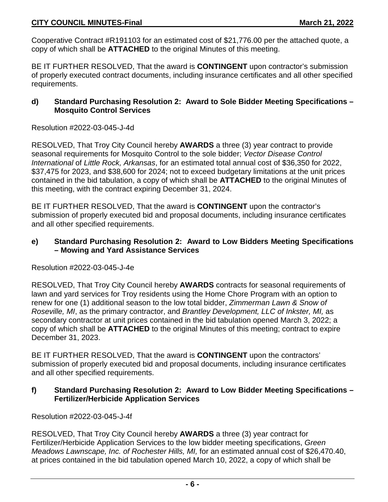Cooperative Contract #R191103 for an estimated cost of \$21,776.00 per the attached quote, a copy of which shall be **ATTACHED** to the original Minutes of this meeting.

BE IT FURTHER RESOLVED, That the award is **CONTINGENT** upon contractor's submission of properly executed contract documents, including insurance certificates and all other specified requirements.

#### **d) Standard Purchasing Resolution 2: Award to Sole Bidder Meeting Specifications – Mosquito Control Services**

Resolution #2022-03-045-J-4d

RESOLVED, That Troy City Council hereby **AWARDS** a three (3) year contract to provide seasonal requirements for Mosquito Control to the sole bidder; *Vector Disease Control International* of *Little Rock, Arkansas*, for an estimated total annual cost of \$36,350 for 2022, \$37,475 for 2023, and \$38,600 for 2024; not to exceed budgetary limitations at the unit prices contained in the bid tabulation, a copy of which shall be **ATTACHED** to the original Minutes of this meeting, with the contract expiring December 31, 2024.

BE IT FURTHER RESOLVED, That the award is **CONTINGENT** upon the contractor's submission of properly executed bid and proposal documents, including insurance certificates and all other specified requirements.

#### **e) Standard Purchasing Resolution 2: Award to Low Bidders Meeting Specifications – Mowing and Yard Assistance Services**

#### Resolution #2022-03-045-J-4e

RESOLVED, That Troy City Council hereby **AWARDS** contracts for seasonal requirements of lawn and yard services for Troy residents using the Home Chore Program with an option to renew for one (1) additional season to the low total bidder, *Zimmerman Lawn & Snow of Roseville, MI*, as the primary contractor, and *Brantley Development, LLC of Inkster, MI,* as secondary contractor at unit prices contained in the bid tabulation opened March 3, 2022; a copy of which shall be **ATTACHED** to the original Minutes of this meeting; contract to expire December 31, 2023.

BE IT FURTHER RESOLVED, That the award is **CONTINGENT** upon the contractors' submission of properly executed bid and proposal documents, including insurance certificates and all other specified requirements.

#### **f) Standard Purchasing Resolution 2: Award to Low Bidder Meeting Specifications – Fertilizer/Herbicide Application Services**

Resolution #2022-03-045-J-4f

RESOLVED, That Troy City Council hereby **AWARDS** a three (3) year contract for Fertilizer/Herbicide Application Services to the low bidder meeting specifications, *Green Meadows Lawnscape, Inc. of Rochester Hills, MI,* for an estimated annual cost of \$26,470.40, at prices contained in the bid tabulation opened March 10, 2022, a copy of which shall be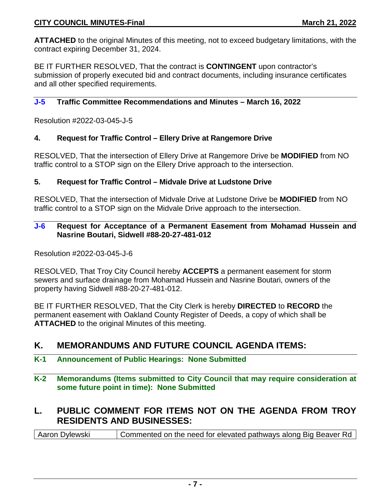**ATTACHED** to the original Minutes of this meeting, not to exceed budgetary limitations, with the contract expiring December 31, 2024.

BE IT FURTHER RESOLVED, That the contract is **CONTINGENT** upon contractor's submission of properly executed bid and contract documents, including insurance certificates and all other specified requirements.

#### **J-5 Traffic Committee Recommendations and Minutes – March 16, 2022**

Resolution #2022-03-045-J-5

#### **4. Request for Traffic Control – Ellery Drive at Rangemore Drive**

RESOLVED, That the intersection of Ellery Drive at Rangemore Drive be **MODIFIED** from NO traffic control to a STOP sign on the Ellery Drive approach to the intersection.

#### **5. Request for Traffic Control – Midvale Drive at Ludstone Drive**

RESOLVED, That the intersection of Midvale Drive at Ludstone Drive be **MODIFIED** from NO traffic control to a STOP sign on the Midvale Drive approach to the intersection.

#### **J-6 Request for Acceptance of a Permanent Easement from Mohamad Hussein and Nasrine Boutari, Sidwell #88-20-27-481-012**

Resolution #2022-03-045-J-6

RESOLVED, That Troy City Council hereby **ACCEPTS** a permanent easement for storm sewers and surface drainage from Mohamad Hussein and Nasrine Boutari, owners of the property having Sidwell #88-20-27-481-012.

BE IT FURTHER RESOLVED, That the City Clerk is hereby **DIRECTED** to **RECORD** the permanent easement with Oakland County Register of Deeds, a copy of which shall be **ATTACHED** to the original Minutes of this meeting.

### **K. MEMORANDUMS AND FUTURE COUNCIL AGENDA ITEMS:**

#### **K-1 Announcement of Public Hearings: None Submitted**

**K-2 Memorandums (Items submitted to City Council that may require consideration at some future point in time): None Submitted**

# **L. PUBLIC COMMENT FOR ITEMS NOT ON THE AGENDA FROM TROY RESIDENTS AND BUSINESSES:**

Aaron Dylewski Commented on the need for elevated pathways along Big Beaver Rd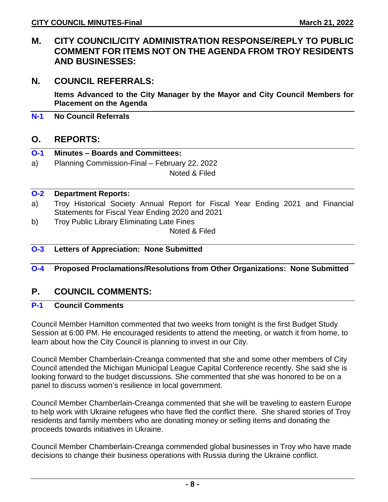### **M. CITY COUNCIL/CITY ADMINISTRATION RESPONSE/REPLY TO PUBLIC COMMENT FOR ITEMS NOT ON THE AGENDA FROM TROY RESIDENTS AND BUSINESSES:**

### **N. COUNCIL REFERRALS:**

**Items Advanced to the City Manager by the Mayor and City Council Members for Placement on the Agenda**

**N-1 No Council Referrals**

### **O. REPORTS:**

- **O-1 Minutes – Boards and Committees:**
- a) Planning Commission-Final February 22, 2022

Noted & Filed

#### **O-2 Department Reports:**

- a) Troy Historical Society Annual Report for Fiscal Year Ending 2021 and Financial Statements for Fiscal Year Ending 2020 and 2021
- b) Troy Public Library Eliminating Late Fines

Noted & Filed

#### **O-3 Letters of Appreciation: None Submitted**

#### **O-4 Proposed Proclamations/Resolutions from Other Organizations: None Submitted**

### **P. COUNCIL COMMENTS:**

#### **P-1 Council Comments**

Council Member Hamilton commented that two weeks from tonight is the first Budget Study Session at 6:00 PM. He encouraged residents to attend the meeting, or watch it from home, to learn about how the City Council is planning to invest in our City.

Council Member Chamberlain-Creanga commented that she and some other members of City Council attended the Michigan Municipal League Capital Conference recently. She said she is looking forward to the budget discussions. She commented that she was honored to be on a panel to discuss women's resilience in local government.

Council Member Chamberlain-Creanga commented that she will be traveling to eastern Europe to help work with Ukraine refugees who have fled the conflict there. She shared stories of Troy residents and family members who are donating money or selling items and donating the proceeds towards initiatives in Ukraine.

Council Member Chamberlain-Creanga commended global businesses in Troy who have made decisions to change their business operations with Russia during the Ukraine conflict.